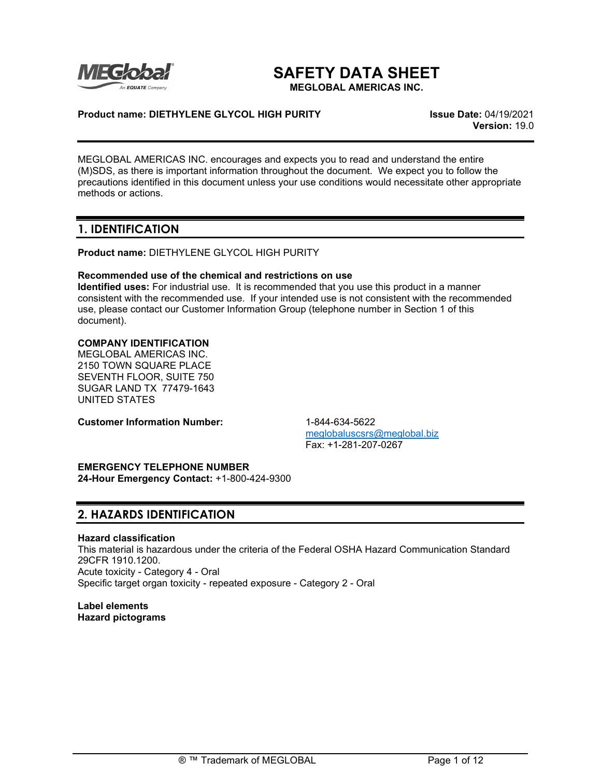

# **SAFETY DATA SHEET**

**MEGLOBAL AMERICAS INC.**

## **Product name: DIETHYLENE GLYCOL HIGH PURITY Issue Date:** 04/19/2021

**Version:** 19.0

MEGLOBAL AMERICAS INC. encourages and expects you to read and understand the entire (M)SDS, as there is important information throughout the document. We expect you to follow the precautions identified in this document unless your use conditions would necessitate other appropriate methods or actions.

## **1. IDENTIFICATION**

**Product name:** DIETHYLENE GLYCOL HIGH PURITY

## **Recommended use of the chemical and restrictions on use**

**Identified uses:** For industrial use. It is recommended that you use this product in a manner consistent with the recommended use. If your intended use is not consistent with the recommended use, please contact our Customer Information Group (telephone number in Section 1 of this document).

## **COMPANY IDENTIFICATION**

MEGLOBAL AMERICAS INC. 2150 TOWN SQUARE PLACE SEVENTH FLOOR, SUITE 750 SUGAR LAND TX 77479-1643 UNITED STATES

**Customer Information Number:** 1-844-634-5622

[meglobaluscsrs@meglobal.biz](mailto:meglobaluscsrs@meglobal.biz) Fax: +1-281-207-0267

# **EMERGENCY TELEPHONE NUMBER**

**24-Hour Emergency Contact:** +1-800-424-9300

# **2. HAZARDS IDENTIFICATION**

## **Hazard classification**

This material is hazardous under the criteria of the Federal OSHA Hazard Communication Standard 29CFR 1910.1200. Acute toxicity - Category 4 - Oral Specific target organ toxicity - repeated exposure - Category 2 - Oral

**Label elements Hazard pictograms**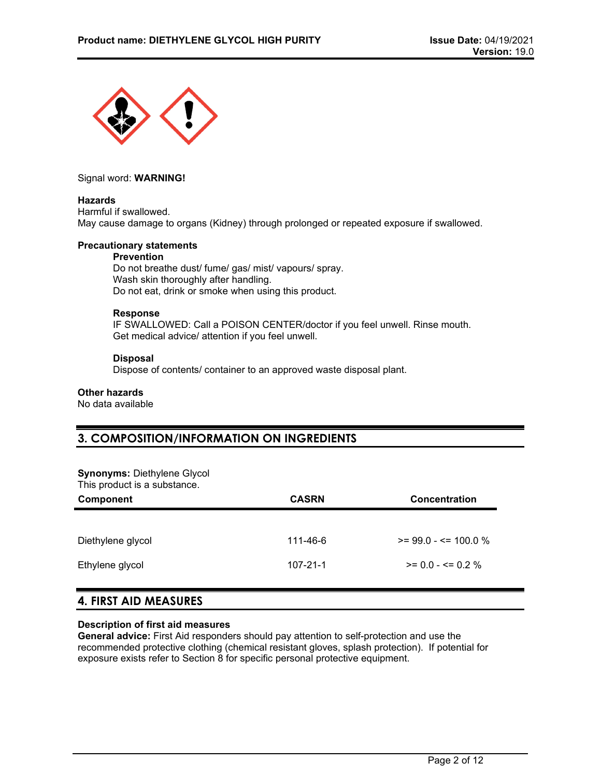

Signal word: **WARNING!**

## **Hazards**

Harmful if swallowed. May cause damage to organs (Kidney) through prolonged or repeated exposure if swallowed.

## **Precautionary statements**

# **Prevention**

Do not breathe dust/ fume/ gas/ mist/ vapours/ spray. Wash skin thoroughly after handling. Do not eat, drink or smoke when using this product.

## **Response**

IF SWALLOWED: Call a POISON CENTER/doctor if you feel unwell. Rinse mouth. Get medical advice/ attention if you feel unwell.

## **Disposal**

Dispose of contents/ container to an approved waste disposal plant.

## **Other hazards**

No data available

# **3. COMPOSITION/INFORMATION ON INGREDIENTS**

#### **Synonyms:** Diethylene Glycol This product is a substance.

| This product is a sapetarise.<br><b>Component</b> | <b>CASRN</b>   | <b>Concentration</b>    |
|---------------------------------------------------|----------------|-------------------------|
| Diethylene glycol                                 | 111-46-6       | $>= 99.0 - 5 = 100.0 %$ |
| Ethylene glycol                                   | $107 - 21 - 1$ | $>= 0.0 - \le 0.2 \%$   |
|                                                   |                |                         |

# **4. FIRST AID MEASURES**

## **Description of first aid measures**

**General advice:** First Aid responders should pay attention to self-protection and use the recommended protective clothing (chemical resistant gloves, splash protection). If potential for exposure exists refer to Section 8 for specific personal protective equipment.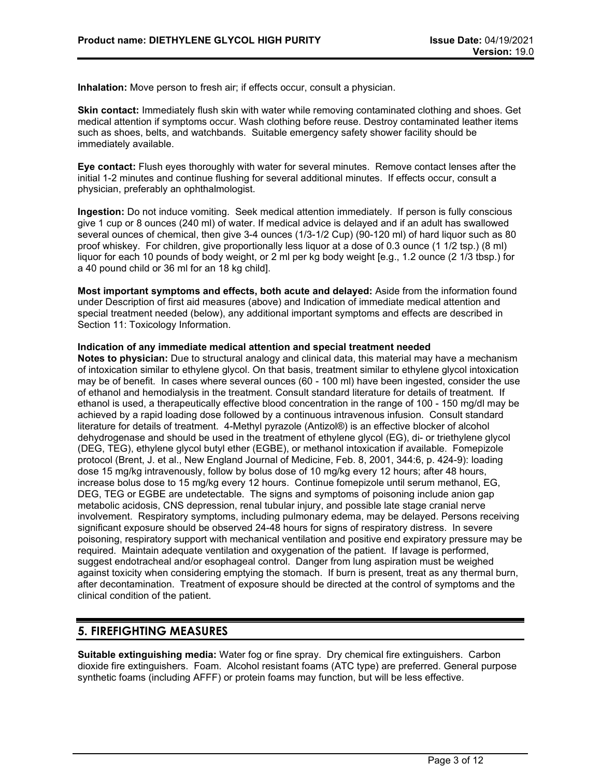**Inhalation:** Move person to fresh air; if effects occur, consult a physician.

**Skin contact:** Immediately flush skin with water while removing contaminated clothing and shoes. Get medical attention if symptoms occur. Wash clothing before reuse. Destroy contaminated leather items such as shoes, belts, and watchbands. Suitable emergency safety shower facility should be immediately available.

**Eye contact:** Flush eyes thoroughly with water for several minutes. Remove contact lenses after the initial 1-2 minutes and continue flushing for several additional minutes. If effects occur, consult a physician, preferably an ophthalmologist.

**Ingestion:** Do not induce vomiting. Seek medical attention immediately. If person is fully conscious give 1 cup or 8 ounces (240 ml) of water. If medical advice is delayed and if an adult has swallowed several ounces of chemical, then give 3-4 ounces (1/3-1/2 Cup) (90-120 ml) of hard liquor such as 80 proof whiskey. For children, give proportionally less liquor at a dose of 0.3 ounce (1 1/2 tsp.) (8 ml) liquor for each 10 pounds of body weight, or 2 ml per kg body weight [e.g., 1.2 ounce (2 1/3 tbsp.) for a 40 pound child or 36 ml for an 18 kg child].

**Most important symptoms and effects, both acute and delayed:** Aside from the information found under Description of first aid measures (above) and Indication of immediate medical attention and special treatment needed (below), any additional important symptoms and effects are described in Section 11: Toxicology Information.

#### **Indication of any immediate medical attention and special treatment needed**

**Notes to physician:** Due to structural analogy and clinical data, this material may have a mechanism of intoxication similar to ethylene glycol. On that basis, treatment similar to ethylene glycol intoxication may be of benefit. In cases where several ounces (60 - 100 ml) have been ingested, consider the use of ethanol and hemodialysis in the treatment. Consult standard literature for details of treatment. If ethanol is used, a therapeutically effective blood concentration in the range of 100 - 150 mg/dl may be achieved by a rapid loading dose followed by a continuous intravenous infusion. Consult standard literature for details of treatment. 4-Methyl pyrazole (Antizol®) is an effective blocker of alcohol dehydrogenase and should be used in the treatment of ethylene glycol (EG), di- or triethylene glycol (DEG, TEG), ethylene glycol butyl ether (EGBE), or methanol intoxication if available. Fomepizole protocol (Brent, J. et al., New England Journal of Medicine, Feb. 8, 2001, 344:6, p. 424-9): loading dose 15 mg/kg intravenously, follow by bolus dose of 10 mg/kg every 12 hours; after 48 hours, increase bolus dose to 15 mg/kg every 12 hours. Continue fomepizole until serum methanol, EG, DEG, TEG or EGBE are undetectable. The signs and symptoms of poisoning include anion gap metabolic acidosis, CNS depression, renal tubular injury, and possible late stage cranial nerve involvement. Respiratory symptoms, including pulmonary edema, may be delayed. Persons receiving significant exposure should be observed 24-48 hours for signs of respiratory distress. In severe poisoning, respiratory support with mechanical ventilation and positive end expiratory pressure may be required. Maintain adequate ventilation and oxygenation of the patient. If lavage is performed, suggest endotracheal and/or esophageal control. Danger from lung aspiration must be weighed against toxicity when considering emptying the stomach. If burn is present, treat as any thermal burn, after decontamination. Treatment of exposure should be directed at the control of symptoms and the clinical condition of the patient.

# **5. FIREFIGHTING MEASURES**

**Suitable extinguishing media:** Water fog or fine spray. Dry chemical fire extinguishers. Carbon dioxide fire extinguishers. Foam. Alcohol resistant foams (ATC type) are preferred. General purpose synthetic foams (including AFFF) or protein foams may function, but will be less effective.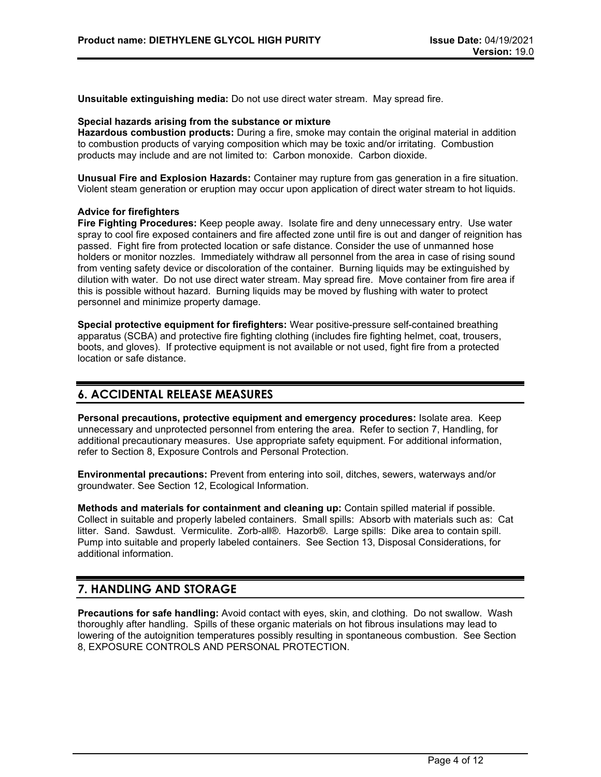**Unsuitable extinguishing media:** Do not use direct water stream. May spread fire.

#### **Special hazards arising from the substance or mixture**

**Hazardous combustion products:** During a fire, smoke may contain the original material in addition to combustion products of varying composition which may be toxic and/or irritating. Combustion products may include and are not limited to: Carbon monoxide. Carbon dioxide.

**Unusual Fire and Explosion Hazards:** Container may rupture from gas generation in a fire situation. Violent steam generation or eruption may occur upon application of direct water stream to hot liquids.

## **Advice for firefighters**

**Fire Fighting Procedures:** Keep people away. Isolate fire and deny unnecessary entry. Use water spray to cool fire exposed containers and fire affected zone until fire is out and danger of reignition has passed. Fight fire from protected location or safe distance. Consider the use of unmanned hose holders or monitor nozzles. Immediately withdraw all personnel from the area in case of rising sound from venting safety device or discoloration of the container. Burning liquids may be extinguished by dilution with water. Do not use direct water stream. May spread fire. Move container from fire area if this is possible without hazard. Burning liquids may be moved by flushing with water to protect personnel and minimize property damage.

**Special protective equipment for firefighters:** Wear positive-pressure self-contained breathing apparatus (SCBA) and protective fire fighting clothing (includes fire fighting helmet, coat, trousers, boots, and gloves). If protective equipment is not available or not used, fight fire from a protected location or safe distance.

## **6. ACCIDENTAL RELEASE MEASURES**

**Personal precautions, protective equipment and emergency procedures:** Isolate area. Keep unnecessary and unprotected personnel from entering the area. Refer to section 7, Handling, for additional precautionary measures. Use appropriate safety equipment. For additional information, refer to Section 8, Exposure Controls and Personal Protection.

**Environmental precautions:** Prevent from entering into soil, ditches, sewers, waterways and/or groundwater. See Section 12, Ecological Information.

**Methods and materials for containment and cleaning up:** Contain spilled material if possible. Collect in suitable and properly labeled containers. Small spills: Absorb with materials such as: Cat litter. Sand. Sawdust. Vermiculite. Zorb-all®. Hazorb®. Large spills: Dike area to contain spill. Pump into suitable and properly labeled containers. See Section 13, Disposal Considerations, for additional information.

## **7. HANDLING AND STORAGE**

**Precautions for safe handling:** Avoid contact with eyes, skin, and clothing. Do not swallow. Wash thoroughly after handling. Spills of these organic materials on hot fibrous insulations may lead to lowering of the autoignition temperatures possibly resulting in spontaneous combustion. See Section 8, EXPOSURE CONTROLS AND PERSONAL PROTECTION.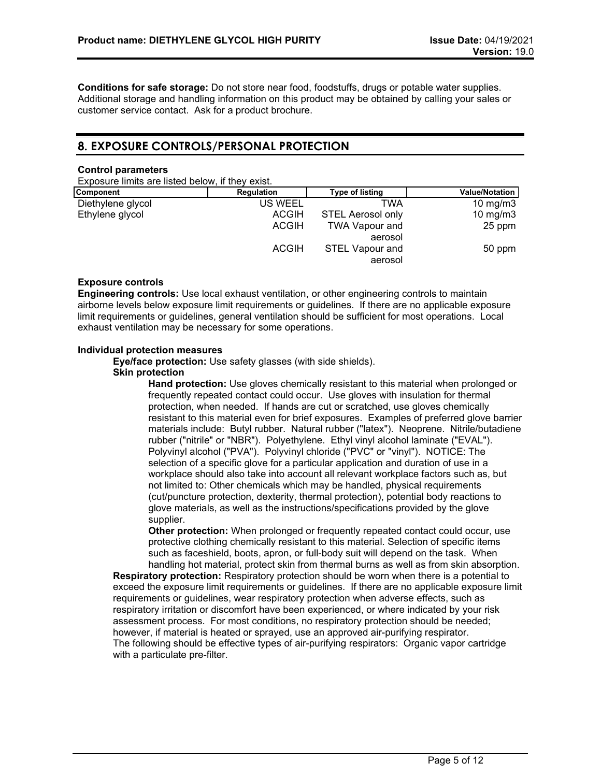**Conditions for safe storage:** Do not store near food, foodstuffs, drugs or potable water supplies. Additional storage and handling information on this product may be obtained by calling your sales or customer service contact. Ask for a product brochure.

# **8. EXPOSURE CONTROLS/PERSONAL PROTECTION**

#### **Control parameters**

Exposure limits are listed below, if they exist.

| Component         | Regulation     | Type of listing          | <b>Value/Notation</b> |
|-------------------|----------------|--------------------------|-----------------------|
| Diethylene glycol | <b>US WEEL</b> | TWA                      | 10 mg/m $3$           |
| Ethylene glycol   | <b>ACGIH</b>   | <b>STEL Aerosol only</b> | 10 mg/m $3$           |
|                   | <b>ACGIH</b>   | <b>TWA Vapour and</b>    | 25 ppm                |
|                   |                | aerosol                  |                       |
|                   | <b>ACGIH</b>   | <b>STEL Vapour and</b>   | 50 ppm                |
|                   |                | aerosol                  |                       |

## **Exposure controls**

**Engineering controls:** Use local exhaust ventilation, or other engineering controls to maintain airborne levels below exposure limit requirements or guidelines. If there are no applicable exposure limit requirements or guidelines, general ventilation should be sufficient for most operations. Local exhaust ventilation may be necessary for some operations.

## **Individual protection measures**

**Eye/face protection:** Use safety glasses (with side shields).

## **Skin protection**

**Hand protection:** Use gloves chemically resistant to this material when prolonged or frequently repeated contact could occur. Use gloves with insulation for thermal protection, when needed. If hands are cut or scratched, use gloves chemically resistant to this material even for brief exposures. Examples of preferred glove barrier materials include: Butyl rubber. Natural rubber ("latex"). Neoprene. Nitrile/butadiene rubber ("nitrile" or "NBR"). Polyethylene. Ethyl vinyl alcohol laminate ("EVAL"). Polyvinyl alcohol ("PVA"). Polyvinyl chloride ("PVC" or "vinyl"). NOTICE: The selection of a specific glove for a particular application and duration of use in a workplace should also take into account all relevant workplace factors such as, but not limited to: Other chemicals which may be handled, physical requirements (cut/puncture protection, dexterity, thermal protection), potential body reactions to glove materials, as well as the instructions/specifications provided by the glove supplier.

**Other protection:** When prolonged or frequently repeated contact could occur, use protective clothing chemically resistant to this material. Selection of specific items such as faceshield, boots, apron, or full-body suit will depend on the task. When handling hot material, protect skin from thermal burns as well as from skin absorption.

**Respiratory protection:** Respiratory protection should be worn when there is a potential to exceed the exposure limit requirements or guidelines. If there are no applicable exposure limit requirements or guidelines, wear respiratory protection when adverse effects, such as respiratory irritation or discomfort have been experienced, or where indicated by your risk assessment process. For most conditions, no respiratory protection should be needed; however, if material is heated or sprayed, use an approved air-purifying respirator. The following should be effective types of air-purifying respirators: Organic vapor cartridge with a particulate pre-filter.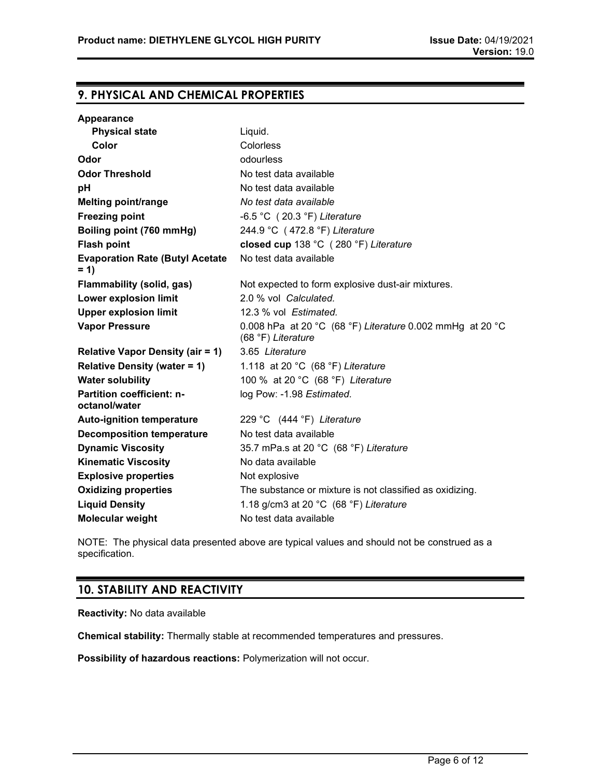## **9. PHYSICAL AND CHEMICAL PROPERTIES**

| Appearance                                      |                                                                                 |
|-------------------------------------------------|---------------------------------------------------------------------------------|
| <b>Physical state</b>                           | Liquid.                                                                         |
| Color                                           | Colorless                                                                       |
| Odor                                            | odourless                                                                       |
| <b>Odor Threshold</b>                           | No test data available                                                          |
| рH                                              | No test data available                                                          |
| <b>Melting point/range</b>                      | No test data available                                                          |
| <b>Freezing point</b>                           | -6.5 °C (20.3 °F) Literature                                                    |
| Boiling point (760 mmHg)                        | 244.9 °C (472.8 °F) Literature                                                  |
| <b>Flash point</b>                              | closed cup 138 °C (280 °F) Literature                                           |
| <b>Evaporation Rate (Butyl Acetate</b><br>$= 1$ | No test data available                                                          |
| <b>Flammability (solid, gas)</b>                | Not expected to form explosive dust-air mixtures.                               |
| Lower explosion limit                           | 2.0 % vol Calculated.                                                           |
| <b>Upper explosion limit</b>                    | 12.3 % vol Estimated.                                                           |
| <b>Vapor Pressure</b>                           | 0.008 hPa at 20 °C (68 °F) Literature 0.002 mmHg at 20 °C<br>(68 °F) Literature |
| <b>Relative Vapor Density (air = 1)</b>         | 3.65 Literature                                                                 |
| <b>Relative Density (water = 1)</b>             | 1.118 at 20 °C (68 °F) Literature                                               |
| <b>Water solubility</b>                         | 100 % at 20 °C (68 °F) Literature                                               |
| Partition coefficient: n-<br>octanol/water      | log Pow: -1.98 Estimated.                                                       |
| <b>Auto-ignition temperature</b>                | 229 °C (444 °F) Literature                                                      |
| <b>Decomposition temperature</b>                | No test data available                                                          |
| <b>Dynamic Viscosity</b>                        | 35.7 mPa.s at 20 °C (68 °F) Literature                                          |
| <b>Kinematic Viscosity</b>                      | No data available                                                               |
| <b>Explosive properties</b>                     | Not explosive                                                                   |
| <b>Oxidizing properties</b>                     | The substance or mixture is not classified as oxidizing.                        |
| <b>Liquid Density</b>                           | 1.18 g/cm3 at 20 $°C$ (68 $°F$ ) Literature                                     |
| <b>Molecular weight</b>                         | No test data available                                                          |

NOTE: The physical data presented above are typical values and should not be construed as a specification.

# **10. STABILITY AND REACTIVITY**

**Reactivity:** No data available

**Chemical stability:** Thermally stable at recommended temperatures and pressures.

**Possibility of hazardous reactions:** Polymerization will not occur.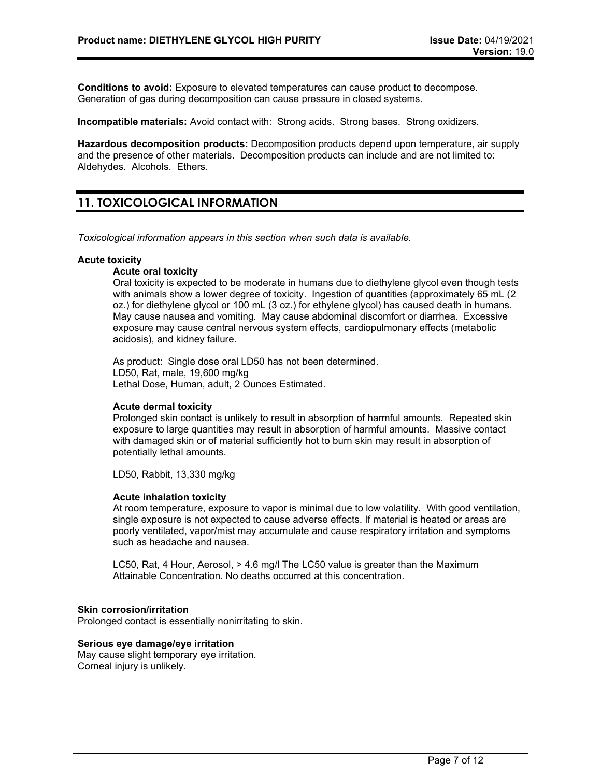**Conditions to avoid:** Exposure to elevated temperatures can cause product to decompose. Generation of gas during decomposition can cause pressure in closed systems.

**Incompatible materials:** Avoid contact with: Strong acids. Strong bases. Strong oxidizers.

**Hazardous decomposition products:** Decomposition products depend upon temperature, air supply and the presence of other materials. Decomposition products can include and are not limited to: Aldehydes. Alcohols. Ethers.

# **11. TOXICOLOGICAL INFORMATION**

*Toxicological information appears in this section when such data is available.*

## **Acute toxicity**

#### **Acute oral toxicity**

Oral toxicity is expected to be moderate in humans due to diethylene glycol even though tests with animals show a lower degree of toxicity. Ingestion of quantities (approximately 65 mL (2 oz.) for diethylene glycol or 100 mL (3 oz.) for ethylene glycol) has caused death in humans. May cause nausea and vomiting. May cause abdominal discomfort or diarrhea. Excessive exposure may cause central nervous system effects, cardiopulmonary effects (metabolic acidosis), and kidney failure.

As product: Single dose oral LD50 has not been determined. LD50, Rat, male, 19,600 mg/kg Lethal Dose, Human, adult, 2 Ounces Estimated.

## **Acute dermal toxicity**

Prolonged skin contact is unlikely to result in absorption of harmful amounts. Repeated skin exposure to large quantities may result in absorption of harmful amounts. Massive contact with damaged skin or of material sufficiently hot to burn skin may result in absorption of potentially lethal amounts.

LD50, Rabbit, 13,330 mg/kg

#### **Acute inhalation toxicity**

At room temperature, exposure to vapor is minimal due to low volatility. With good ventilation, single exposure is not expected to cause adverse effects. If material is heated or areas are poorly ventilated, vapor/mist may accumulate and cause respiratory irritation and symptoms such as headache and nausea.

LC50, Rat, 4 Hour, Aerosol, > 4.6 mg/l The LC50 value is greater than the Maximum Attainable Concentration. No deaths occurred at this concentration.

## **Skin corrosion/irritation**

Prolonged contact is essentially nonirritating to skin.

### **Serious eye damage/eye irritation**

May cause slight temporary eye irritation. Corneal injury is unlikely.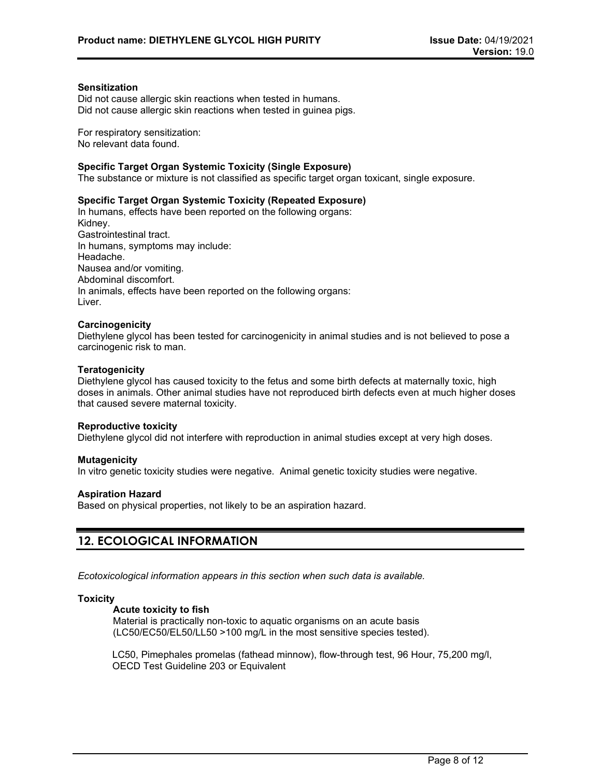#### **Sensitization**

Did not cause allergic skin reactions when tested in humans. Did not cause allergic skin reactions when tested in guinea pigs.

For respiratory sensitization: No relevant data found.

#### **Specific Target Organ Systemic Toxicity (Single Exposure)**

The substance or mixture is not classified as specific target organ toxicant, single exposure.

#### **Specific Target Organ Systemic Toxicity (Repeated Exposure)**

In humans, effects have been reported on the following organs: Kidney. Gastrointestinal tract. In humans, symptoms may include: Headache. Nausea and/or vomiting. Abdominal discomfort. In animals, effects have been reported on the following organs: Liver.

#### **Carcinogenicity**

Diethylene glycol has been tested for carcinogenicity in animal studies and is not believed to pose a carcinogenic risk to man.

#### **Teratogenicity**

Diethylene glycol has caused toxicity to the fetus and some birth defects at maternally toxic, high doses in animals. Other animal studies have not reproduced birth defects even at much higher doses that caused severe maternal toxicity.

#### **Reproductive toxicity**

Diethylene glycol did not interfere with reproduction in animal studies except at very high doses.

#### **Mutagenicity**

In vitro genetic toxicity studies were negative. Animal genetic toxicity studies were negative.

#### **Aspiration Hazard**

Based on physical properties, not likely to be an aspiration hazard.

## **12. ECOLOGICAL INFORMATION**

*Ecotoxicological information appears in this section when such data is available.*

#### **Toxicity**

#### **Acute toxicity to fish**

Material is practically non-toxic to aquatic organisms on an acute basis (LC50/EC50/EL50/LL50 >100 mg/L in the most sensitive species tested).

LC50, Pimephales promelas (fathead minnow), flow-through test, 96 Hour, 75,200 mg/l, OECD Test Guideline 203 or Equivalent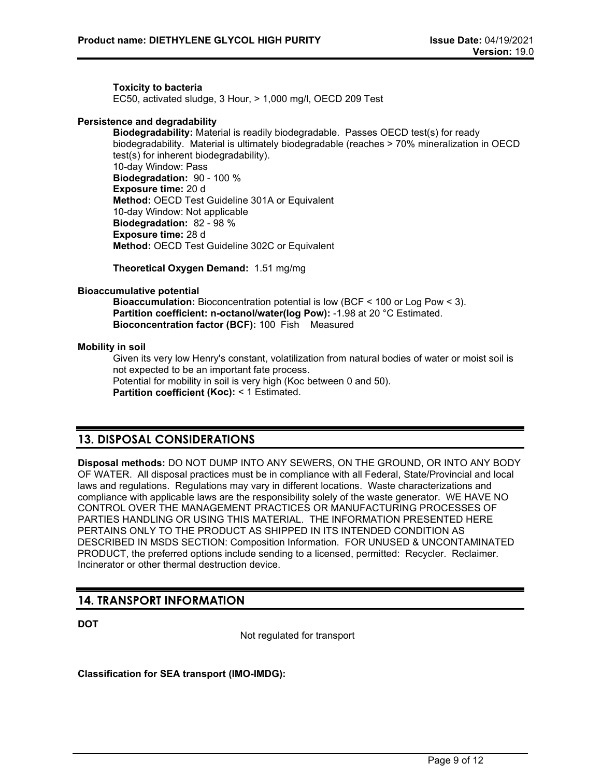**Toxicity to bacteria** EC50, activated sludge, 3 Hour, > 1,000 mg/l, OECD 209 Test

## **Persistence and degradability**

**Biodegradability:** Material is readily biodegradable. Passes OECD test(s) for ready biodegradability. Material is ultimately biodegradable (reaches > 70% mineralization in OECD test(s) for inherent biodegradability). 10-day Window: Pass **Biodegradation:** 90 - 100 % **Exposure time:** 20 d **Method:** OECD Test Guideline 301A or Equivalent 10-day Window: Not applicable **Biodegradation:** 82 - 98 % **Exposure time:** 28 d **Method:** OECD Test Guideline 302C or Equivalent

**Theoretical Oxygen Demand:** 1.51 mg/mg

## **Bioaccumulative potential**

**Bioaccumulation:** Bioconcentration potential is low (BCF < 100 or Log Pow < 3). **Partition coefficient: n-octanol/water(log Pow):** -1.98 at 20 °C Estimated. **Bioconcentration factor (BCF):** 100 Fish Measured

## **Mobility in soil**

Given its very low Henry's constant, volatilization from natural bodies of water or moist soil is not expected to be an important fate process. Potential for mobility in soil is very high (Koc between 0 and 50). **Partition coefficient (Koc):** < 1 Estimated.

# **13. DISPOSAL CONSIDERATIONS**

**Disposal methods:** DO NOT DUMP INTO ANY SEWERS, ON THE GROUND, OR INTO ANY BODY OF WATER. All disposal practices must be in compliance with all Federal, State/Provincial and local laws and regulations. Regulations may vary in different locations. Waste characterizations and compliance with applicable laws are the responsibility solely of the waste generator. WE HAVE NO CONTROL OVER THE MANAGEMENT PRACTICES OR MANUFACTURING PROCESSES OF PARTIES HANDLING OR USING THIS MATERIAL. THE INFORMATION PRESENTED HERE PERTAINS ONLY TO THE PRODUCT AS SHIPPED IN ITS INTENDED CONDITION AS DESCRIBED IN MSDS SECTION: Composition Information. FOR UNUSED & UNCONTAMINATED PRODUCT, the preferred options include sending to a licensed, permitted: Recycler. Reclaimer. Incinerator or other thermal destruction device.

## **14. TRANSPORT INFORMATION**

**DOT**

Not regulated for transport

**Classification for SEA transport (IMO-IMDG):**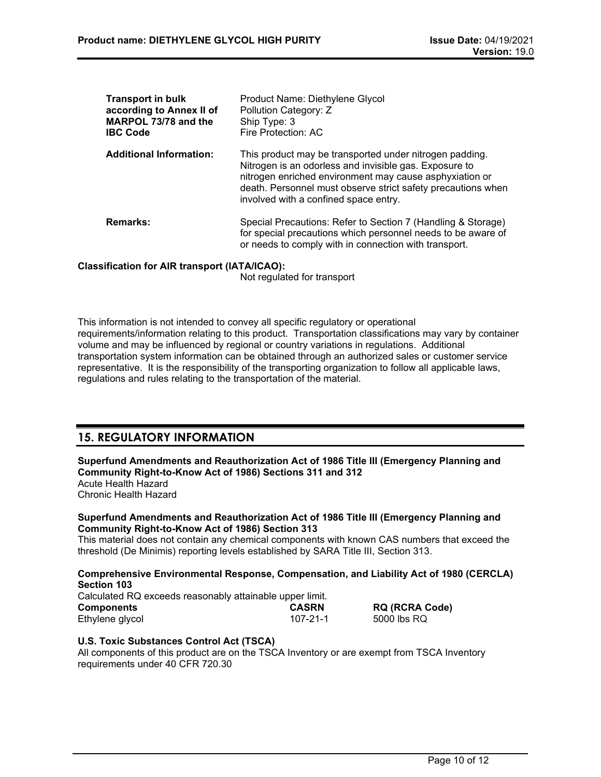| <b>Transport in bulk</b><br>according to Annex II of<br>MARPOL 73/78 and the<br><b>IBC Code</b> | Product Name: Diethylene Glycol<br>Pollution Category: Z<br>Ship Type: 3<br>Fire Protection: AC                                                                                                                                                                                       |
|-------------------------------------------------------------------------------------------------|---------------------------------------------------------------------------------------------------------------------------------------------------------------------------------------------------------------------------------------------------------------------------------------|
| <b>Additional Information:</b>                                                                  | This product may be transported under nitrogen padding.<br>Nitrogen is an odorless and invisible gas. Exposure to<br>nitrogen enriched environment may cause asphyxiation or<br>death. Personnel must observe strict safety precautions when<br>involved with a confined space entry. |
| <b>Remarks:</b>                                                                                 | Special Precautions: Refer to Section 7 (Handling & Storage)<br>for special precautions which personnel needs to be aware of<br>or needs to comply with in connection with transport.                                                                                                 |

## **Classification for AIR transport (IATA/ICAO):**

Not regulated for transport

This information is not intended to convey all specific regulatory or operational requirements/information relating to this product. Transportation classifications may vary by container volume and may be influenced by regional or country variations in regulations. Additional transportation system information can be obtained through an authorized sales or customer service representative. It is the responsibility of the transporting organization to follow all applicable laws, regulations and rules relating to the transportation of the material.

# **15. REGULATORY INFORMATION**

**Superfund Amendments and Reauthorization Act of 1986 Title III (Emergency Planning and Community Right-to-Know Act of 1986) Sections 311 and 312**

Acute Health Hazard Chronic Health Hazard

#### **Superfund Amendments and Reauthorization Act of 1986 Title III (Emergency Planning and Community Right-to-Know Act of 1986) Section 313**

This material does not contain any chemical components with known CAS numbers that exceed the threshold (De Minimis) reporting levels established by SARA Title III, Section 313.

**Comprehensive Environmental Response, Compensation, and Liability Act of 1980 (CERCLA) Section 103** Calculated RQ exceeds reasonably attainable upper limit.

| <u>Calculated TV&amp;</u> CACCCGS TCGOOTIGDTy GITGHTGDIC GPPCT INTIIT. |              |                       |  |
|------------------------------------------------------------------------|--------------|-----------------------|--|
| Components                                                             | <b>CASRN</b> | <b>RQ (RCRA Code)</b> |  |
| Ethylene glycol                                                        | 107-21-1     | 5000 lbs RQ           |  |

## **U.S. Toxic Substances Control Act (TSCA)**

All components of this product are on the TSCA Inventory or are exempt from TSCA Inventory requirements under 40 CFR 720.30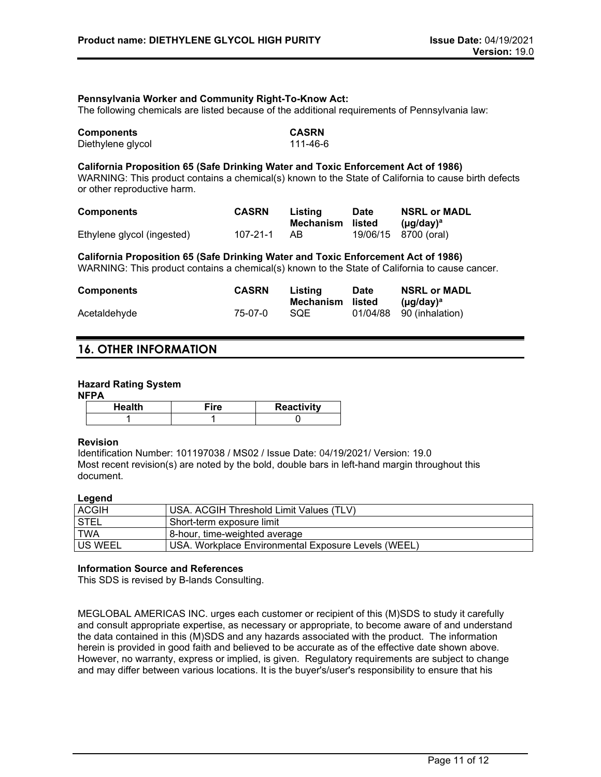#### **Pennsylvania Worker and Community Right-To-Know Act:**

The following chemicals are listed because of the additional requirements of Pennsylvania law:

| <b>Components</b> | <b>CASRN</b> |
|-------------------|--------------|
| Diethylene glycol | 111-46-6     |

#### **California Proposition 65 (Safe Drinking Water and Toxic Enforcement Act of 1986)**

WARNING: This product contains a chemical(s) known to the State of California to cause birth defects or other reproductive harm.

| <b>Components</b>          | <b>CASRN</b> | Listing<br>Mechanism listed | <b>Date</b> | <b>NSRL or MADL</b>                               |
|----------------------------|--------------|-----------------------------|-------------|---------------------------------------------------|
| Ethylene glycol (ingested) | 107-21-1     | AB.                         |             | $(\mu q / d \text{av})^a$<br>19/06/15 8700 (oral) |

**California Proposition 65 (Safe Drinking Water and Toxic Enforcement Act of 1986)** WARNING: This product contains a chemical(s) known to the State of California to cause cancer.

| <b>Components</b> | <b>CASRN</b> | Listing<br>Mechanism listed | <b>Date</b> | <b>NSRL or MADL</b><br>(µq/day) <sup>a</sup> |
|-------------------|--------------|-----------------------------|-------------|----------------------------------------------|
| Acetaldehyde      | 75-07-0      | <b>SQE</b>                  |             | 01/04/88 90 (inhalation)                     |

## **16. OTHER INFORMATION**

### **Hazard Rating System**

#### **NFPA**

| Health | ≂ire | <b>Reactivity</b> |
|--------|------|-------------------|
|        |      |                   |

#### **Revision**

Identification Number: 101197038 / MS02 / Issue Date: 04/19/2021/ Version: 19.0 Most recent revision(s) are noted by the bold, double bars in left-hand margin throughout this document.

#### **Legend**

| <b>ACGIH</b>   | USA. ACGIH Threshold Limit Values (TLV)             |
|----------------|-----------------------------------------------------|
| <b>STEL</b>    | Short-term exposure limit                           |
| <b>TWA</b>     | 8-hour, time-weighted average                       |
| <b>US WEEL</b> | USA, Workplace Environmental Exposure Levels (WEEL) |

#### **Information Source and References**

This SDS is revised by B-lands Consulting.

MEGLOBAL AMERICAS INC. urges each customer or recipient of this (M)SDS to study it carefully and consult appropriate expertise, as necessary or appropriate, to become aware of and understand the data contained in this (M)SDS and any hazards associated with the product. The information herein is provided in good faith and believed to be accurate as of the effective date shown above. However, no warranty, express or implied, is given. Regulatory requirements are subject to change and may differ between various locations. It is the buyer's/user's responsibility to ensure that his